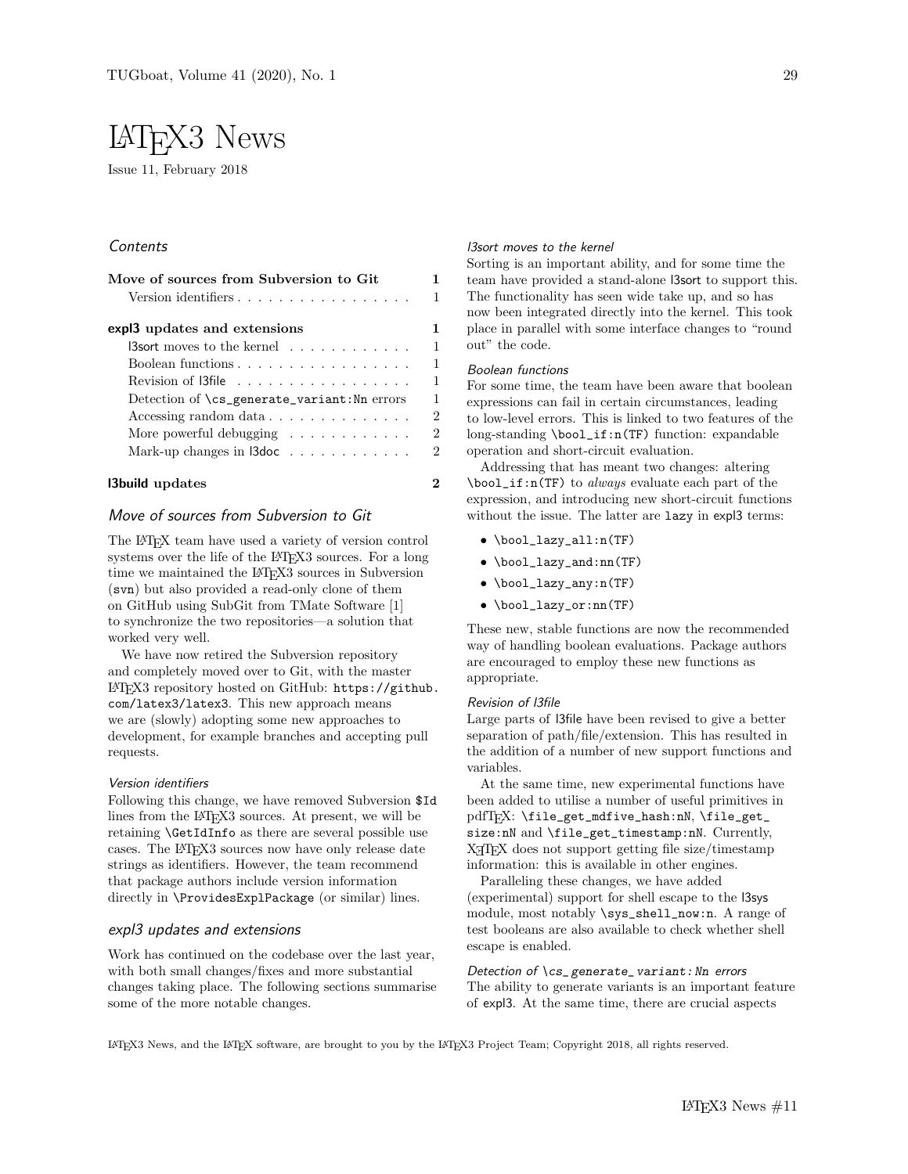# LATEX3 News

Issue 11, February 2018

# **Contents**

| Move of sources from Subversion to Git                          |  |
|-----------------------------------------------------------------|--|
| Version identifiers                                             |  |
| expl3 updates and extensions                                    |  |
| $\mathsf{I3}$ sort moves to the kernel $\ldots \ldots \ldots$   |  |
| Boolean functions                                               |  |
|                                                                 |  |
| Detection of \cs_generate_variant:Nn errors                     |  |
| Accessing random data $\ldots \ldots \ldots \ldots$             |  |
| More powerful debugging $\dots \dots \dots \dots$               |  |
| Mark-up changes in $\mathsf{I3doc} \ldots \ldots \ldots \ldots$ |  |

# l3build updates 2

# Move of sources from Subversion to Git

The LATEX team have used a variety of version control systems over the life of the LAT<sub>E</sub>X3 sources. For a long time we maintained the LAT<sub>EX3</sub> sources in Subversion (svn) but also provided a read-only clone of them on GitHub using SubGit from TMate Software [1] to synchronize the two repositories—a solution that worked very well.

We have now retired the Subversion repository and completely moved over to Git, with the master LATEX3 repository hosted on GitHub: https://github. com/latex3/latex3. This new approach means we are (slowly) adopting some new approaches to development, for example branches and accepting pull requests.

# Version identifiers

Following this change, we have removed Subversion \$Id lines from the L<sup>AT</sup>FX3 sources. At present, we will be retaining \GetIdInfo as there are several possible use cases. The LATEX3 sources now have only release date strings as identifiers. However, the team recommend that package authors include version information directly in \ProvidesExplPackage (or similar) lines.

# expl3 updates and extensions

Work has continued on the codebase over the last year, with both small changes/fixes and more substantial changes taking place. The following sections summarise some of the more notable changes.

#### l3sort moves to the kernel

Sorting is an important ability, and for some time the team have provided a stand-alone l3sort to support this. The functionality has seen wide take up, and so has now been integrated directly into the kernel. This took place in parallel with some interface changes to "round out" the code.

#### Boolean functions

For some time, the team have been aware that boolean expressions can fail in certain circumstances, leading to low-level errors. This is linked to two features of the long-standing \bool\_if:n(TF) function: expandable operation and short-circuit evaluation.

Addressing that has meant two changes: altering \bool\_if:n(TF) to always evaluate each part of the expression, and introducing new short-circuit functions without the issue. The latter are  $\texttt{lazy}$  in expl3 terms:

- \bool\_lazy\_all:n(TF)
- \bool\_lazy\_and:nn(TF)
- \bool\_lazy\_any:n(TF)
- \bool\_lazy\_or:nn(TF)

These new, stable functions are now the recommended way of handling boolean evaluations. Package authors are encouraged to employ these new functions as appropriate.

#### Revision of l3file

Large parts of l3file have been revised to give a better separation of path/file/extension. This has resulted in the addition of a number of new support functions and variables.

At the same time, new experimental functions have been added to utilise a number of useful primitives in pdfTEX: \file\_get\_mdfive\_hash:nN, \file\_get\_ size:nN and \file\_get\_timestamp:nN. Currently, X<sub>T</sub>T<sub>E</sub>X does not support getting file size/timestamp information: this is available in other engines.

Paralleling these changes, we have added (experimental) support for shell escape to the l3sys module, most notably \sys\_shell\_now:n. A range of test booleans are also available to check whether shell escape is enabled.

Detection of \cs\_ generate\_ variant: Nn errors The ability to generate variants is an important feature of expl3. At the same time, there are crucial aspects

LATEX3 News, and the LATEX software, are brought to you by the LATEX3 Project Team; Copyright 2018, all rights reserved.